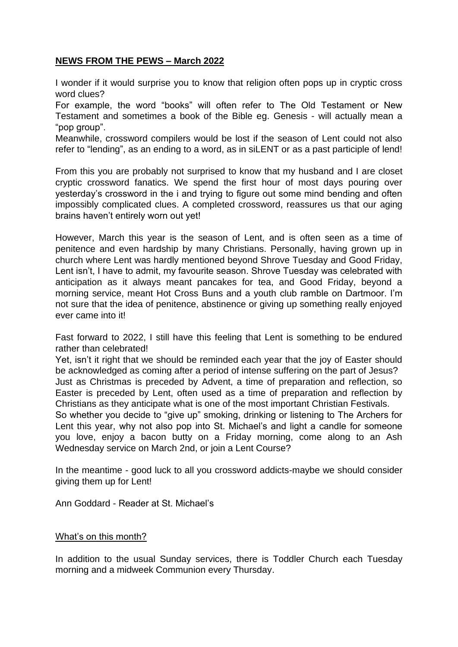## **NEWS FROM THE PEWS – March 2022**

I wonder if it would surprise you to know that religion often pops up in cryptic cross word clues?

For example, the word "books" will often refer to The Old Testament or New Testament and sometimes a book of the Bible eg. Genesis - will actually mean a "pop group".

Meanwhile, crossword compilers would be lost if the season of Lent could not also refer to "lending", as an ending to a word, as in siLENT or as a past participle of lend!

From this you are probably not surprised to know that my husband and I are closet cryptic crossword fanatics. We spend the first hour of most days pouring over yesterday's crossword in the i and trying to figure out some mind bending and often impossibly complicated clues. A completed crossword, reassures us that our aging brains haven't entirely worn out yet!

However, March this year is the season of Lent, and is often seen as a time of penitence and even hardship by many Christians. Personally, having grown up in church where Lent was hardly mentioned beyond Shrove Tuesday and Good Friday, Lent isn't, I have to admit, my favourite season. Shrove Tuesday was celebrated with anticipation as it always meant pancakes for tea, and Good Friday, beyond a morning service, meant Hot Cross Buns and a youth club ramble on Dartmoor. I'm not sure that the idea of penitence, abstinence or giving up something really enjoyed ever came into it!

Fast forward to 2022, I still have this feeling that Lent is something to be endured rather than celebrated!

Yet, isn't it right that we should be reminded each year that the joy of Easter should be acknowledged as coming after a period of intense suffering on the part of Jesus? Just as Christmas is preceded by Advent, a time of preparation and reflection, so Easter is preceded by Lent, often used as a time of preparation and reflection by Christians as they anticipate what is one of the most important Christian Festivals.

So whether you decide to "give up" smoking, drinking or listening to The Archers for Lent this year, why not also pop into St. Michael's and light a candle for someone you love, enjoy a bacon butty on a Friday morning, come along to an Ash Wednesday service on March 2nd, or join a Lent Course?

In the meantime - good luck to all you crossword addicts-maybe we should consider giving them up for Lent!

Ann Goddard - Reader at St. Michael's

## What's on this month?

In addition to the usual Sunday services, there is Toddler Church each Tuesday morning and a midweek Communion every Thursday.